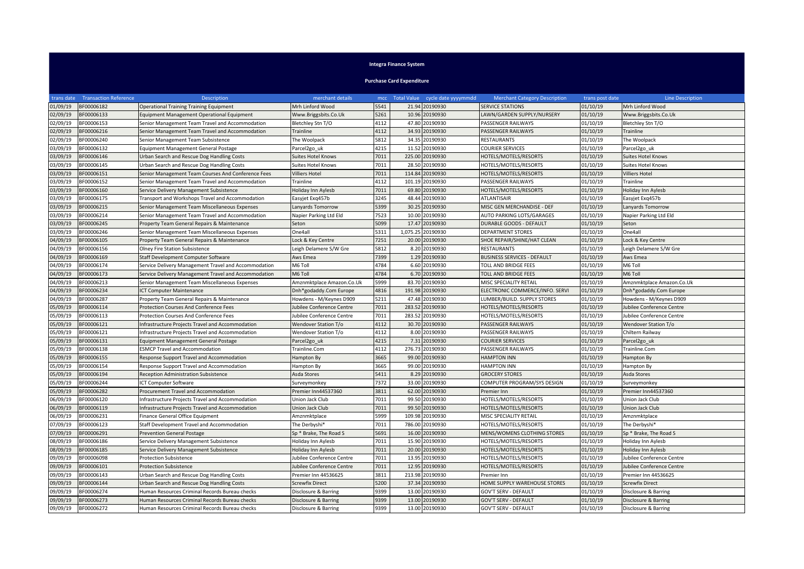## **Integra Finance System**

**Purchase Card Expenditure**

| trans date | <b>Transaction Reference</b> | <b>Description</b>                                   | merchant details          |      |          | mcc Total Value cycle date yyyymmdd | <b>Merchant Category Description</b> | trans post date | <b>Line Description</b>   |
|------------|------------------------------|------------------------------------------------------|---------------------------|------|----------|-------------------------------------|--------------------------------------|-----------------|---------------------------|
| 01/09/19   | BF00006182                   | <b>Operational Training Training Equipment</b>       | Mrh Linford Wood          | 5541 |          | 21.94 20190930                      | <b>SERVICE STATIONS</b>              | 01/10/19        | Mrh Linford Wood          |
| 02/09/19   | BF00006133                   | Equipment Management Operational Equipment           | Www.Briggsbits.Co.Uk      | 5261 |          | 10.96 20190930                      | LAWN/GARDEN SUPPLY/NURSERY           | 01/10/19        | Www.Briggsbits.Co.Uk      |
| 02/09/19   | BF00006153                   | Senior Management Team Travel and Accommodation      | Bletchley Stn T/O         | 4112 | 47.80    | 20190930                            | PASSENGER RAILWAYS                   | 01/10/19        | Bletchley Stn T/O         |
| 02/09/19   | BF00006216                   | Senior Management Team Travel and Accommodation      | Trainline                 | 4112 | 34.93    | 20190930                            | PASSENGER RAILWAYS                   | 01/10/19        | Trainline                 |
| 02/09/19   | BF00006240                   | Senior Management Team Subsistence                   | The Woolpack              | 5812 | 34.35    | 20190930                            | <b>RESTAURANTS</b>                   | 01/10/19        | The Woolpack              |
| 03/09/19   | BF00006132                   | Equipment Management General Postage                 | Parcel <sub>2go uk</sub>  | 4215 | 11.52    | 20190930                            | <b>COURIER SERVICES</b>              | 01/10/19        | Parcel2go uk              |
| 03/09/19   | BF00006146                   | Urban Search and Rescue Dog Handling Costs           | <b>Suites Hotel Knows</b> | 7011 | 225.00   | 20190930                            | HOTELS/MOTELS/RESORTS                | 01/10/19        | <b>Suites Hotel Knows</b> |
| 03/09/19   | BF00006145                   | Urban Search and Rescue Dog Handling Costs           | <b>Suites Hotel Knows</b> | 7011 | 28.50    | 20190930                            | HOTELS/MOTELS/RESORTS                | 01/10/19        | <b>Suites Hotel Knows</b> |
| 03/09/19   | BF00006151                   | Senior Management Team Courses And Conference Fees   | <b>Villiers Hotel</b>     | 7011 | 114.84   | 20190930                            | HOTELS/MOTELS/RESORTS                | 01/10/19        | <b>Villiers Hotel</b>     |
| 03/09/19   | BF00006152                   | Senior Management Team Travel and Accommodation      | Trainline                 | 4112 | 101.19   | 20190930                            | PASSENGER RAILWAYS                   | 01/10/19        | Trainline                 |
| 03/09/19   | BF00006160                   | Service Delivery Management Subsistence              | Holiday Inn Aylesb        | 7011 | 69.80    | 20190930                            | HOTELS/MOTELS/RESORTS                | 01/10/19        | Holiday Inn Aylesb        |
| 03/09/19   | BF00006175                   | Transport and Workshops Travel and Accommodation     | Easyjet Exq457b           | 3245 | 48.44    | 20190930                            | <b>ATLANTISAIR</b>                   | 01/10/19        | Easyjet Exq457b           |
| 03/09/19   | BF00006215                   | Senior Management Team Miscellaneous Expenses        | Lanyards Tomorrow         | 5399 | 30.25    | 20190930                            | MISC GEN MERCHANDISE - DEF           | 01/10/19        | Lanyards Tomorrow         |
| 03/09/19   | BF00006214                   | Senior Management Team Travel and Accommodation      | Napier Parking Ltd Eld    | 7523 | 10.00    | 20190930                            | AUTO PARKING LOTS/GARAGES            | 01/10/19        | Napier Parking Ltd Eld    |
| 03/09/19   | BF00006245                   | Property Team General Repairs & Maintenance          | Seton                     | 5099 | 17.47    | 20190930                            | <b>DURABLE GOODS - DEFAULT</b>       | 01/10/19        | Seton                     |
| 03/09/19   | BF00006246                   | Senior Management Team Miscellaneous Expenses        | One4all                   | 5311 | 1,075.25 | 20190930                            | <b>DEPARTMENT STORES</b>             | 01/10/19        | One4all                   |
| 04/09/19   | BF00006105                   | Property Team General Repairs & Maintenance          | Lock & Key Centre         | 7251 | 20.00    | 20190930                            | SHOE REPAIR/SHINE/HAT CLEAN          | 01/10/19        | Lock & Key Centre         |
| 04/09/19   | BF00006156                   | Olney Fire Station Subsistence                       | Leigh Delamere S/W Gre    | 5812 | 8.20     | 20190930                            | <b>RESTAURANTS</b>                   | 01/10/19        | Leigh Delamere S/W Gre    |
| 04/09/19   | BF00006169                   | Staff Development Computer Software                  | Aws Emea                  | 7399 | 1.29     | 20190930                            | <b>BUSINESS SERVICES - DEFAULT</b>   | 01/10/19        | Aws Emea                  |
| 04/09/19   | BF00006174                   | Service Delivery Management Travel and Accommodation | M6 Toll                   | 4784 | 6.60     | 20190930                            | TOLL AND BRIDGE FEES                 | 01/10/19        | M6 Toll                   |
| 04/09/19   | BF00006173                   | Service Delivery Management Travel and Accommodation | M6 Toll                   | 4784 | 6.70     | 20190930                            | <b>TOLL AND BRIDGE FEES</b>          | 01/10/19        | M6 Toll                   |
| 04/09/19   | BF00006213                   | Senior Management Team Miscellaneous Expenses        | Amznmktplace Amazon.Co.Uk | 5999 | 83.70    | 20190930                            | MISC SPECIALITY RETAIL               | 01/10/19        | Amznmktplace Amazon.Co.Uk |
| 04/09/19   | BF00006234                   | <b>ICT Computer Maintenance</b>                      | Dnh*godaddy.Com Europe    | 4816 | 191.98   | 20190930                            | ELECTRONIC COMMERCE/INFO. SERVI      | 01/10/19        | Dnh*godaddy.Com Europe    |
| 04/09/19   | BF00006287                   | Property Team General Repairs & Maintenance          | Howdens - M/Keynes D909   | 5211 | 47.48    | 20190930                            | LUMBER/BUILD. SUPPLY STORES          | 01/10/19        | Howdens - M/Keynes D909   |
| 05/09/19   | BF00006114                   | <b>Protection Courses And Conference Fees</b>        | Jubilee Conference Centre | 7011 | 283.52   | 20190930                            | HOTELS/MOTELS/RESORTS                | 01/10/19        | Jubilee Conference Centre |
| 05/09/19   | BF00006113                   | <b>Protection Courses And Conference Fees</b>        | Jubilee Conference Centre | 7011 | 283.52   | 20190930                            | HOTELS/MOTELS/RESORTS                | 01/10/19        | Jubilee Conference Centre |
| 05/09/19   | BF00006121                   | Infrastructure Projects Travel and Accommodation     | Wendover Station T/o      | 4112 | 30.70    | 20190930                            | PASSENGER RAILWAYS                   | 01/10/19        | Wendover Station T/o      |
| 05/09/19   | BF00006121                   | Infrastructure Projects Travel and Accommodation     | Wendover Station T/o      | 4112 | 8.00     | 20190930                            | PASSENGER RAILWAYS                   | 01/10/19        | Chiltern Railway          |
| 05/09/19   | BF00006131                   | Equipment Management General Postage                 | Parcel <sub>2go_uk</sub>  | 4215 | 7.31     | 20190930                            | <b>COURIER SERVICES</b>              | 01/10/19        | Parcel2go_uk              |
| 05/09/19   | BF00006138                   | <b>ESMCP Travel and Accommodation</b>                | Trainline.Com             | 4112 | 276.73   | 20190930                            | PASSENGER RAILWAYS                   | 01/10/19        | Trainline.Com             |
| 05/09/19   | BF00006155                   | Response Support Travel and Accommodation            | Hampton By                | 3665 | 99.00    | 20190930                            | <b>HAMPTON INN</b>                   | 01/10/19        | Hampton By                |
| 05/09/19   | BF00006154                   | Response Support Travel and Accommodation            | Hampton By                | 3665 | 99.00    | 20190930                            | <b>HAMPTON INN</b>                   | 01/10/19        | Hampton By                |
| 05/09/19   | BF00006194                   | <b>Reception Administration Subsistence</b>          | Asda Stores               | 5411 | 8.29     | 20190930                            | <b>GROCERY STORES</b>                | 01/10/19        | Asda Stores               |
| 05/09/19   | BF00006244                   | ICT Computer Software                                | Surveymonkey              | 7372 | 33.00    | 20190930                            | COMPUTER PROGRAM/SYS DESIGN          | 01/10/19        | Surveymonkey              |
| 05/09/19   | BF00006282                   | Procurement Travel and Accommodation                 | Premier Inn44537360       | 3811 | 62.00    | 20190930                            | Premier Inn                          | 01/10/19        | Premier Inn44537360       |
| 06/09/19   | BF00006120                   | Infrastructure Projects Travel and Accommodation     | Union Jack Club           | 7011 | 99.50    | 20190930                            | HOTELS/MOTELS/RESORTS                | 01/10/19        | Union Jack Club           |
| 06/09/19   | BF00006119                   | Infrastructure Projects Travel and Accommodation     | Union Jack Club           | 7011 | 99.50    | 20190930                            | HOTELS/MOTELS/RESORTS                | 01/10/19        | Union Jack Club           |
| 06/09/19   | BF00006231                   | Finance General Office Equipment                     | Amznmktplace              | 5999 | 109.98   | 20190930                            | MISC SPECIALITY RETAIL               | 01/10/19        | Amznmktplace              |
| 07/09/19   | BF00006123                   | Staff Development Travel and Accommodation           | The Derbyshi*             | 7011 | 786.00   | 20190930                            | HOTELS/MOTELS/RESORTS                | 01/10/19        | The Derbyshi*             |
| 07/09/19   | BF00006291                   | <b>Prevention General Postage</b>                    | Sp * Brake, The Road S    | 5691 | 16.00    | 20190930                            | MENS/WOMENS CLOTHING STORES          | 01/10/19        | Sp * Brake, The Road S    |
| 08/09/19   | BF00006186                   | Service Delivery Management Subsistence              | Holiday Inn Aylesb        | 7011 | 15.90    | 20190930                            | HOTELS/MOTELS/RESORTS                | 01/10/19        | Holiday Inn Aylesb        |
| 08/09/19   | BF00006185                   | Service Delivery Management Subsistence              | Holiday Inn Aylesb        | 7011 | 20.00    | 20190930                            | HOTELS/MOTELS/RESORTS                | 01/10/19        | Holiday Inn Aylesb        |
| 09/09/19   | BF00006098                   | Protection Subsistence                               | Jubilee Conference Centre | 7011 | 13.95    | 20190930                            | HOTELS/MOTELS/RESORTS                | 01/10/19        | Jubilee Conference Centre |
| 09/09/19   | 3F00006101                   | <b>Protection Subsistence</b>                        | Jubilee Conference Centre | 7011 | 12.95    | 20190930                            | HOTELS/MOTELS/RESORTS                | 01/10/19        | Jubilee Conference Centre |
| 09/09/19   | BF00006143                   | Urban Search and Rescue Dog Handling Costs           | Premier Inn 44536625      | 3811 | 213.98   | 20190930                            | Premier Inn                          | 01/10/19        | Premier Inn 44536625      |
| 09/09/19   | BF00006144                   | Urban Search and Rescue Dog Handling Costs           | Screwfix Direct           | 5200 | 37.34    | 20190930                            | HOME SUPPLY WAREHOUSE STORES         | 01/10/19        | <b>Screwfix Direct</b>    |
| 09/09/19   | BF00006274                   | Human Resources Criminal Records Bureau checks       | Disclosure & Barring      | 9399 | 13.00    | 20190930                            | <b>GOV'T SERV - DEFAULT</b>          | 01/10/19        | Disclosure & Barring      |
| 09/09/19   | BF00006273                   | Human Resources Criminal Records Bureau checks       | Disclosure & Barring      | 9399 | 13.00    | 20190930                            | <b>GOV'T SERV - DEFAULT</b>          | 01/10/19        | Disclosure & Barring      |
| 09/09/19   | BF00006272                   | Human Resources Criminal Records Bureau checks       | Disclosure & Barring      | 9399 |          | 13.00 20190930                      | GOV'T SERV - DEFAULT                 | 01/10/19        | Disclosure & Barring      |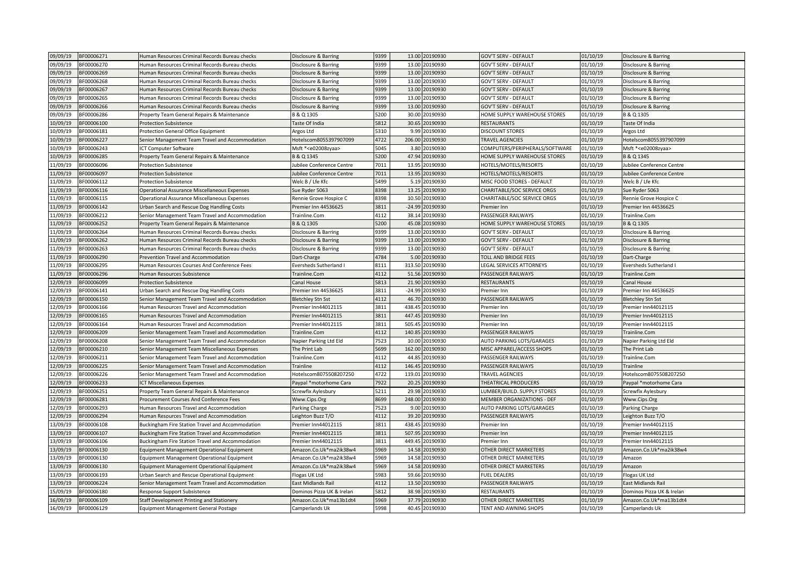| 09/09/19             | BF00006271 | Human Resources Criminal Records Bureau checks                                                | Disclosure & Barring             | 9399 |          | 13.00 20190930       | <b>GOV'T SERV - DEFAULT</b>       | 01/10/19             | Disclosure & Barring                       |
|----------------------|------------|-----------------------------------------------------------------------------------------------|----------------------------------|------|----------|----------------------|-----------------------------------|----------------------|--------------------------------------------|
| 09/09/19             | BF00006270 | Human Resources Criminal Records Bureau checks                                                | Disclosure & Barring             | 9399 |          | 13.00 20190930       | <b>GOV'T SERV - DEFAULT</b>       | 01/10/19             | Disclosure & Barring                       |
| 09/09/19             | BF00006269 | Human Resources Criminal Records Bureau checks                                                | Disclosure & Barring             | 9399 | 13.00    | 20190930             | <b>GOV'T SERV - DEFAULT</b>       | 01/10/19             | Disclosure & Barring                       |
| 09/09/19             | BF00006268 | Human Resources Criminal Records Bureau checks                                                | Disclosure & Barring             | 9399 | 13.00    | 20190930             | <b>GOV'T SERV - DEFAULT</b>       | 01/10/19             | Disclosure & Barring                       |
| 09/09/19             | BF00006267 | Human Resources Criminal Records Bureau checks                                                | Disclosure & Barring             | 9399 |          | 13.00 20190930       | <b>GOV'T SERV - DEFAULT</b>       | 01/10/19             | Disclosure & Barring                       |
| 09/09/19             | BF00006265 | Human Resources Criminal Records Bureau checks                                                | Disclosure & Barring             | 9399 | 13.00    | 20190930             | <b>GOV'T SERV - DEFAULT</b>       | 01/10/19             | Disclosure & Barring                       |
| 09/09/19             | BF00006266 | Human Resources Criminal Records Bureau checks                                                | Disclosure & Barring             | 9399 | 13.00    | 20190930             | <b>GOV'T SERV - DEFAULT</b>       | 01/10/19             | Disclosure & Barring                       |
| 09/09/19             | BF00006286 | Property Team General Repairs & Maintenance                                                   | B & Q 1305                       | 5200 | 30.00    | 20190930             | HOME SUPPLY WAREHOUSE STORES      | 01/10/19             | B & Q 1305                                 |
| 10/09/19             | BF00006100 | Protection Subsistence                                                                        | Taste Of India                   | 5812 | 30.65    | 20190930             | <b>RESTAURANTS</b>                | 01/10/19             | Taste Of India                             |
| 10/09/19             | BF00006181 | Protection General Office Equipment                                                           | Argos Ltd                        | 5310 | 9.99     | 20190930             | <b>DISCOUNT STORES</b>            | 01/10/19             | Argos Ltd                                  |
| 10/09/19             | BF00006227 | Senior Management Team Travel and Accommodation                                               | Hotelscom8055397907099           | 4722 | 206.00   | 20190930             | <b>TRAVEL AGENCIES</b>            | 01/10/19             | Hotelscom8055397907099                     |
| 10/09/19             | BF00006243 | CT Computer Software                                                                          | Msft * <e02008zyaa></e02008zyaa> | 5045 |          | 3.80 20190930        | COMPUTERS/PERIPHERALS/SOFTWARE    | 01/10/19             | Msft * <e02008zyaa></e02008zyaa>           |
| 10/09/19             | BF00006285 | roperty Team General Repairs & Maintenance                                                    | B & Q 1345                       | 5200 | 47.94    | 20190930             | HOME SUPPLY WAREHOUSE STORES      | 01/10/19             | B & Q 1345                                 |
| 11/09/19             | BF00006096 | <b>Protection Subsistence</b>                                                                 | Jubilee Conference Centre        | 7011 | 13.95    | 20190930             | HOTELS/MOTELS/RESORTS             | 01/10/19             | Jubilee Conference Centre                  |
| 11/09/19             | BF00006097 | <b>Protection Subsistence</b>                                                                 | Jubilee Conference Centre        | 7011 | 13.95    | 20190930             | HOTELS/MOTELS/RESORTS             | 01/10/19             | Jubilee Conference Centre                  |
| 11/09/19             | BF00006112 | <b>Protection Subsistence</b>                                                                 | Welc B / Lfe Kfc                 | 5499 | 5.19     | 20190930             | MISC FOOD STORES - DEFAULT        | 01/10/19             | Welc B / Lfe Kfc                           |
| 11/09/19             | BF00006116 | Operational Assurance Miscellaneous Expenses                                                  | Sue Ryder 5063                   | 8398 | 13.25    | 20190930             | CHARITABLE/SOC SERVICE ORGS       | 01/10/19             | Sue Ryder 5063                             |
| 11/09/19             | BF00006115 | Operational Assurance Miscellaneous Expenses                                                  | Rennie Grove Hospice C           | 8398 | 10.50    | 20190930             | CHARITABLE/SOC SERVICE ORGS       | 01/10/19             | Rennie Grove Hospice C                     |
| 11/09/19             | BF00006142 | Urban Search and Rescue Dog Handling Costs                                                    | Premier Inn 44536625             | 3811 | $-24.99$ | 20190930             | Premier Inn                       | 01/10/19             | Premier Inn 44536625                       |
| 11/09/19             | BF00006212 | Senior Management Team Travel and Accommodation                                               | Trainline.Com                    | 4112 |          | 38.14 20190930       | PASSENGER RAILWAYS                | 01/10/19             | Trainline.Com                              |
| 11/09/19             | BF00006252 | roperty Team General Repairs & Maintenance                                                    | B & Q 1305                       | 5200 | 45.08    | 20190930             | HOME SUPPLY WAREHOUSE STORES      | 01/10/19             | B & Q 1305                                 |
| 11/09/19             | BF00006264 | Human Resources Criminal Records Bureau checks                                                | Disclosure & Barring             | 9399 | 13.00    | 20190930             | <b>GOV'T SERV - DEFAULT</b>       | 01/10/19             | Disclosure & Barring                       |
| 11/09/19             | BF00006262 | Human Resources Criminal Records Bureau checks                                                | Disclosure & Barring             | 9399 | 13.00    | 20190930             | <b>GOV'T SERV - DEFAULT</b>       | 01/10/19             | Disclosure & Barring                       |
| 11/09/19             | BF00006263 | Human Resources Criminal Records Bureau checks                                                | Disclosure & Barring             | 9399 |          | 13.00 20190930       | <b>GOV'T SERV - DEFAULT</b>       | 01/10/19             | Disclosure & Barring                       |
| 11/09/19             | BF00006290 | Prevention Travel and Accommodation                                                           | Dart-Charge                      | 4784 | 5.00     | 20190930             | TOLL AND BRIDGE FEES              | 01/10/19             | Dart-Charge                                |
| 11/09/19             | BF00006295 | Human Resources Courses And Conference Fees                                                   | Eversheds Sutherland I           | 8111 | 313.50   | 20190930             | <b>LEGAL SERVICES ATTORNEYS</b>   | 01/10/19             | Eversheds Sutherland I                     |
| 11/09/19             | BF00006296 | Human Resources Subsistence                                                                   | Trainline.Com                    | 4112 | 51.56    | 20190930             | PASSENGER RAILWAYS                | 01/10/19             | Trainline.Com                              |
| 12/09/19             | BF00006099 | <b>Protection Subsistence</b>                                                                 | Canal House                      | 5813 | 21.90    | 20190930             | <b>RESTAURANTS</b>                | 01/10/19             | Canal House                                |
| 12/09/19             | BF00006141 |                                                                                               | Premier Inn 44536625             | 3811 | $-24.99$ | 20190930             |                                   | 01/10/19             | Premier Inn 44536625                       |
| 12/09/19             | BF00006150 | Urban Search and Rescue Dog Handling Costs<br>Senior Management Team Travel and Accommodation | <b>Bletchley Stn Sst</b>         | 4112 | 46.70    | 20190930             | Premier Inn<br>PASSENGER RAILWAYS | 01/10/19             | <b>Bletchley Stn Sst</b>                   |
|                      | BF00006166 |                                                                                               | Premier Inn44012115              | 3811 | 438.45   |                      |                                   |                      |                                            |
| 12/09/19<br>12/09/19 | BF00006165 | Human Resources Travel and Accommodation                                                      | Premier Inn44012115              | 3811 | 447.45   | 20190930<br>20190930 | Premier Inn                       | 01/10/19<br>01/10/19 | Premier Inn44012115<br>Premier Inn44012115 |
|                      |            | Human Resources Travel and Accommodation                                                      | Premier Inn44012115              | 3811 | 505.45   | 20190930             | Premier Inn                       |                      |                                            |
| 12/09/19             | BF00006164 | Human Resources Travel and Accommodation                                                      |                                  |      |          |                      | Premier Inn                       | 01/10/19             | Premier Inn44012115                        |
| 12/09/19             | BF00006209 | Senior Management Team Travel and Accommodation                                               | Trainline.Com                    | 4112 | 140.85   | 20190930             | PASSENGER RAILWAYS                | 01/10/19             | Trainline.Com                              |
| 12/09/19             | BF00006208 | Senior Management Team Travel and Accommodation                                               | Napier Parking Ltd Eld           | 7523 |          | 10.00 20190930       | AUTO PARKING LOTS/GARAGES         | 01/10/19             | Napier Parking Ltd Eld                     |
| 12/09/19             | BF00006210 | Senior Management Team Miscellaneous Expenses                                                 | The Print Lab                    | 5699 | 162.00   | 20190930             | MISC APPAREL/ACCESS SHOPS         | 01/10/19             | The Print Lab                              |
| 12/09/19             | BF00006211 | Senior Management Team Travel and Accommodation                                               | Trainline.Com                    | 4112 | 44.85    | 20190930             | PASSENGER RAILWAYS                | 01/10/19             | Trainline.Com                              |
| 12/09/19             | BF00006225 | Senior Management Team Travel and Accommodation                                               | Trainline                        | 4112 | 146.45   | 20190930             | PASSENGER RAILWAYS                | 01/10/19             | Trainline                                  |
| 12/09/19             | BF00006226 | Senior Management Team Travel and Accommodation                                               | Hotelscom8075508207250           | 4722 | 119.01   | 20190930             | <b>TRAVEL AGENCIES</b>            | 01/10/19             | Hotelscom8075508207250                     |
| 12/09/19             | BF00006233 | <b>CT Miscellaneous Expenses</b>                                                              | Paypal *motorhome Cara           | 7922 | 20.25    | 20190930             | THEATRICAL PRODUCERS              | 01/10/19             | Paypal *motorhome Cara                     |
| 12/09/19             | BF00006251 | Property Team General Repairs & Maintenance                                                   | Screwfix Aylesbury               | 5211 | 29.98    | 20190930             | LUMBER/BUILD. SUPPLY STORES       | 01/10/19             | Screwfix Aylesbury                         |
| 12/09/19             | BF00006281 | Procurement Courses And Conference Fees                                                       | Www.Cips.Org                     | 8699 | 248.00   | 20190930             | <b>MEMBER ORGANIZATIONS - DEF</b> | 01/10/19             | Www.Cips.Org                               |
| 12/09/19             | BF00006293 | Human Resources Travel and Accommodation                                                      | Parking Charge                   | 7523 | 9.00     | 20190930             | AUTO PARKING LOTS/GARAGES         | 01/10/19             | Parking Charge                             |
| 12/09/19             | BF00006294 | Human Resources Travel and Accommodation                                                      | Leighton Buzz T/O                | 4112 | 39.20    | 20190930             | PASSENGER RAILWAYS                | 01/10/19             | Leighton Buzz T/O                          |
| 13/09/19             | BF00006108 | Buckingham Fire Station Travel and Accommodation                                              | Premier Inn44012115              | 3811 | 438.45   | 20190930             | Premier Inn                       | 01/10/19             | Premier Inn44012115                        |
| 13/09/19             | BF00006107 | Buckingham Fire Station Travel and Accommodation                                              | Premier Inn44012115              | 3811 | 507.95   | 20190930             | Premier Inn                       | 01/10/19             | Premier Inn44012115                        |
| 13/09/19             | BF00006106 | Buckingham Fire Station Travel and Accommodation                                              | Premier Inn44012115              | 3811 | 449.4    | 20190930             | Premier Inn                       | 01/10/19             | Premier Inn44012115                        |
| 13/09/19             | BF00006130 | <b>Equipment Management Operational Equipment</b>                                             | Amazon.Co.Uk*ma2ik38w4           | 5969 | 14.58    | 20190930             | OTHER DIRECT MARKETERS            | 01/10/19             | Amazon.Co.Uk*ma2ik38w4                     |
| 13/09/19             | BF00006130 | Equipment Management Operational Equipment                                                    | Amazon.Co.Uk*ma2ik38w4           | 5969 | 14.58    | 20190930             | OTHER DIRECT MARKETERS            | 01/10/19             | Amazon                                     |
| 13/09/19             | BF00006130 | Equipment Management Operational Equipment                                                    | Amazon.Co.Uk*ma2ik38w4           | 5969 | 14.58    | 20190930             | OTHER DIRECT MARKETERS            | 01/10/19             | Amazon                                     |
| 13/09/19             | BF00006193 | Urban Search and Rescue Operational Equipment                                                 | Flogas UK Ltd                    | 5983 | 59.66    | 20190930             | <b>FUEL DEALERS</b>               | 01/10/19             | Flogas UK Ltd                              |
| 13/09/19             | BF00006224 | Senior Management Team Travel and Accommodation                                               | <b>East Midlands Rail</b>        | 4112 | 13.50    | 20190930             | PASSENGER RAILWAYS                | 01/10/19             | <b>East Midlands Rail</b>                  |
| 15/09/19             | BF00006180 | Response Support Subsistence                                                                  | Dominos Pizza UK & Irelan        | 5812 |          | 38.98 20190930       | RESTAURANTS                       | 01/10/19             | Dominos Pizza UK & Irelan                  |
| 16/09/19             | BF00006109 | Staff Development Printing and Stationery                                                     | Amazon.Co.Uk*ma13b1dt4           | 5969 | 37.79    | 20190930             | OTHER DIRECT MARKETERS            | 01/10/19             | Amazon.Co.Uk*ma13b1dt4                     |
| 16/09/19             | BF00006129 | Equipment Management General Postage                                                          | Camperlands Uk                   | 5998 |          | 40.45 20190930       | TENT AND AWNING SHOPS             | 01/10/19             | Camperlands Uk                             |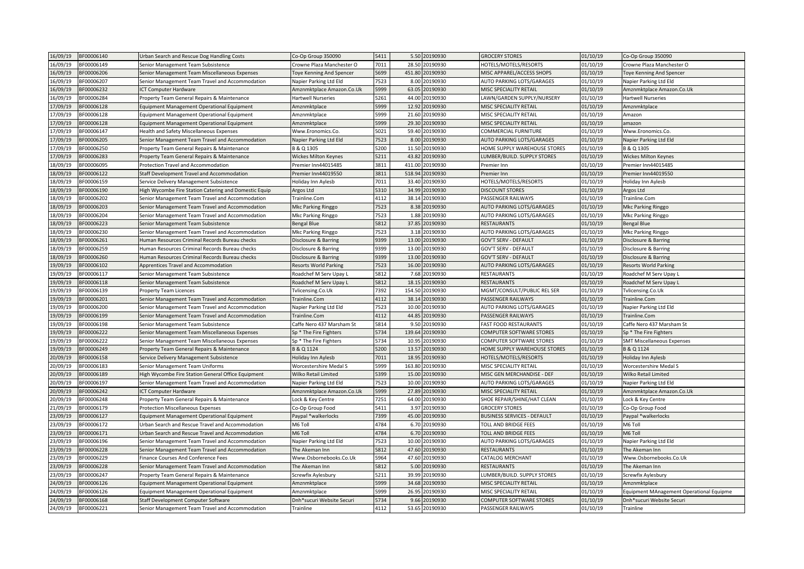| 16/09/19<br>BF00006140 | Urban Search and Rescue Dog Handling Costs                                            | Co-Op Group 350090              | 5411 |        | 5.50 20190930  | <b>GROCERY STORES</b>              | 01/10/19 | Co-Op Group 350090                                                    |
|------------------------|---------------------------------------------------------------------------------------|---------------------------------|------|--------|----------------|------------------------------------|----------|-----------------------------------------------------------------------|
| 16/09/19<br>BF00006149 | Senior Management Team Subsistence                                                    | Crowne Plaza Manchester O       | 7011 | 28.50  | 20190930       | HOTELS/MOTELS/RESORTS              | 01/10/19 | Crowne Plaza Manchester O                                             |
| 16/09/19<br>BF00006206 | Senior Management Team Miscellaneous Expenses                                         | <b>Toye Kenning And Spencer</b> | 5699 | 451.80 | 20190930       | MISC APPAREL/ACCESS SHOPS          | 01/10/19 | <b>Toye Kenning And Spencer</b>                                       |
| 16/09/19<br>BF00006207 | Senior Management Team Travel and Accommodation                                       | Napier Parking Ltd Eld          | 7523 | 8.00   | 20190930       | AUTO PARKING LOTS/GARAGES          | 01/10/19 | Napier Parking Ltd Eld                                                |
| 16/09/19<br>BF00006232 | CT Computer Hardware                                                                  | Amznmktplace Amazon.Co.Uk       | 5999 | 63.05  | 20190930       | MISC SPECIALITY RETAIL             | 01/10/19 | Amznmktplace Amazon.Co.Uk                                             |
| 16/09/19<br>BF00006284 | Property Team General Repairs & Maintenance                                           | <b>Hartwell Nurseries</b>       | 5261 | 44.00  | 20190930       | LAWN/GARDEN SUPPLY/NURSERY         | 01/10/19 | <b>Hartwell Nurseries</b>                                             |
| 17/09/19<br>BF00006128 | Equipment Management Operational Equipment                                            | Amznmktplace                    | 5999 | 12.92  | 20190930       | MISC SPECIALITY RETAIL             | 01/10/19 | Amznmktplace                                                          |
| 17/09/19<br>BF00006128 | Equipment Management Operational Equipment                                            | Amznmktplace                    | 5999 | 21.60  | 20190930       | MISC SPECIALITY RETAIL             | 01/10/19 | Amazon                                                                |
| 17/09/19<br>BF00006128 | Equipment Management Operational Equipment                                            | Amznmktplace                    | 5999 | 29.30  | 20190930       | MISC SPECIALITY RETAIL             | 01/10/19 | amazon                                                                |
| 17/09/19<br>BF00006147 | Health and Safety Miscellaneous Expenses                                              | Www.Eronomics.Co.               | 5021 | 59.40  | 20190930       | COMMERCIAL FURNITURE               | 01/10/19 | Www.Eronomics.Co.                                                     |
| 17/09/19<br>3F00006205 | Senior Management Team Travel and Accommodation                                       | Napier Parking Ltd Eld          | 7523 | 8.00   | 20190930       | AUTO PARKING LOTS/GARAGES          | 01/10/19 | Napier Parking Ltd Eld                                                |
| 17/09/19<br>BF00006250 | Property Team General Repairs & Maintenance                                           | B & Q 1305                      | 5200 | 11.50  | 20190930       | HOME SUPPLY WAREHOUSE STORES       | 01/10/19 | B & Q 1305                                                            |
| 17/09/19<br>BF00006283 | roperty Team General Repairs & Maintenance                                            | <b>Wickes Milton Keynes</b>     | 5211 | 43.82  | 20190930       | LUMBER/BUILD. SUPPLY STORES        | 01/10/19 | <b>Wickes Milton Keynes</b>                                           |
| 18/09/19<br>BF00006095 | Protection Travel and Accommodation                                                   | Premier Inn44015485             | 3811 | 411.00 | 20190930       | Premier Inn                        | 01/10/19 | Premier Inn44015485                                                   |
| 18/09/19<br>BF00006122 | Staff Development Travel and Accommodation                                            | Premier Inn44019550             | 3811 | 518.94 | 20190930       | Premier Inn                        | 01/10/19 | Premier Inn44019550                                                   |
| 18/09/19<br>BF00006159 | Service Delivery Management Subsistence                                               | Holiday Inn Aylesb              | 7011 | 33.40  | 20190930       | HOTELS/MOTELS/RESORTS              | 01/10/19 | Holiday Inn Aylesb                                                    |
| 18/09/19<br>BF00006190 | High Wycombe Fire Station Catering and Domestic Equip                                 | Argos Ltd                       | 5310 | 34.99  | 20190930       | <b>DISCOUNT STORES</b>             | 01/10/19 | Argos Ltd                                                             |
| 18/09/19<br>BF00006202 | Senior Management Team Travel and Accommodation                                       | Trainline.Com                   | 4112 | 38.14  | 20190930       | PASSENGER RAILWAYS                 | 01/10/19 | Trainline.Com                                                         |
| 18/09/19<br>BF00006203 | Senior Management Team Travel and Accommodation                                       | Mkc Parking Ringgo              | 7523 | 8.38   | 20190930       | AUTO PARKING LOTS/GARAGES          | 01/10/19 | <b>Mkc Parking Ringgo</b>                                             |
| 18/09/19<br>BF00006204 | Senior Management Team Travel and Accommodation                                       | Mkc Parking Ringgo              | 7523 |        | 1.88 20190930  | AUTO PARKING LOTS/GARAGES          | 01/10/19 | Mkc Parking Ringgo                                                    |
| 18/09/19<br>BF00006223 | Senior Management Team Subsistence                                                    | Bengal Blue                     | 5812 | 37.85  | 20190930       | <b>RESTAURANTS</b>                 | 01/10/19 | <b>Bengal Blue</b>                                                    |
| 18/09/19<br>BF00006230 | Senior Management Team Travel and Accommodation                                       | Mkc Parking Ringgo              | 7523 | 3.18   | 20190930       | AUTO PARKING LOTS/GARAGES          | 01/10/19 | Mkc Parking Ringgo                                                    |
| 18/09/19<br>BF00006261 | Human Resources Criminal Records Bureau checks                                        | Disclosure & Barring            | 9399 | 13.00  | 20190930       | GOV'T SERV - DEFAULT               | 01/10/19 | Disclosure & Barring                                                  |
| 18/09/19<br>BF00006259 | Human Resources Criminal Records Bureau checks                                        | Disclosure & Barring            | 9399 | 13.00  | 20190930       | <b>GOV'T SERV - DEFAULT</b>        | 01/10/19 | Disclosure & Barring                                                  |
| 18/09/19<br>BF00006260 | Human Resources Criminal Records Bureau checks                                        | Disclosure & Barring            | 9399 | 13.00  | 20190930       | <b>GOV'T SERV - DEFAULT</b>        | 01/10/19 | Disclosure & Barring                                                  |
| 19/09/19<br>BF00006102 | Apprentices Travel and Accommodation                                                  | <b>Resorts World Parking</b>    | 7523 | 16.00  | 20190930       | AUTO PARKING LOTS/GARAGES          | 01/10/19 | <b>Resorts World Parking</b>                                          |
| 19/09/19<br>BF00006117 | Senior Management Team Subsistence                                                    | Roadchef M Serv Upay L          | 5812 | 7.68   | 20190930       | <b>RESTAURANTS</b>                 | 01/10/19 | Roadchef M Serv Upay L                                                |
| 19/09/19<br>BF00006118 | Senior Management Team Subsistence                                                    | Roadchef M Serv Upay L          | 5812 | 18.15  | 20190930       | <b>RESTAURANTS</b>                 | 01/10/19 | Roadchef M Serv Upay L                                                |
| 19/09/19<br>BF00006139 | Property Team Licences                                                                | Tvlicensing.Co.Uk               | 7392 | 154.50 | 20190930       | MGMT/CONSULT/PUBLIC REL SER        | 01/10/19 | Tvlicensing.Co.Uk                                                     |
| 19/09/19<br>BF00006201 | Senior Management Team Travel and Accommodation                                       | Frainline.Com                   | 4112 | 38.14  | 20190930       | PASSENGER RAILWAYS                 | 01/10/19 | Trainline.Com                                                         |
| 19/09/19<br>BF00006200 | Senior Management Team Travel and Accommodation                                       | Napier Parking Ltd Eld          | 7523 | 10.00  | 20190930       | AUTO PARKING LOTS/GARAGES          | 01/10/19 | Napier Parking Ltd Eld                                                |
| 19/09/19<br>BF00006199 | Senior Management Team Travel and Accommodation                                       | Frainline.Com                   | 4112 | 44.85  | 20190930       | PASSENGER RAILWAYS                 | 01/10/19 | Trainline.Com                                                         |
| 19/09/19<br>BF00006198 | Senior Management Team Subsistence                                                    | Caffe Nero 437 Marsham St       | 5814 | 9.50   | 20190930       | <b>FAST FOOD RESTAURANTS</b>       | 01/10/19 | Caffe Nero 437 Marsham St                                             |
| 19/09/19<br>BF00006222 | Senior Management Team Miscellaneous Expenses                                         | Sp * The Fire Fighters          | 5734 | 139.64 | 20190930       | COMPUTER SOFTWARE STORES           | 01/10/19 | Sp * The Fire Fighters                                                |
| 19/09/19<br>BF00006222 | Senior Management Team Miscellaneous Expenses                                         | Sp * The Fire Fighters          | 5734 | 10.95  | 20190930       | COMPUTER SOFTWARE STORES           | 01/10/19 | <b>SMT Miscellaneous Expenses</b>                                     |
| 19/09/19<br>BF00006249 | Property Team General Repairs & Maintenance                                           | B & Q 1124                      | 5200 | 13.57  | 20190930       | HOME SUPPLY WAREHOUSE STORES       | 01/10/19 | B & Q 1124                                                            |
| 20/09/19<br>BF00006158 | Service Delivery Management Subsistence                                               | Holiday Inn Aylesb              | 7011 | 18.95  | 20190930       | HOTELS/MOTELS/RESORTS              | 01/10/19 | Holiday Inn Aylesb                                                    |
| 20/09/19<br>BF00006183 | Senior Management Team Uniforms                                                       | Worcestershire Medal S          | 5999 | 163.80 | 20190930       | MISC SPECIALITY RETAIL             | 01/10/19 | Worcestershire Medal S                                                |
| 20/09/19<br>BF00006189 | ligh Wycombe Fire Station General Office Equipment                                    | <b>Wilko Retail Limited</b>     | 5399 | 15.00  | 20190930       | MISC GEN MERCHANDISE - DEF         | 01/10/19 | <b>Wilko Retail Limited</b>                                           |
| 20/09/19<br>BF00006197 | Senior Management Team Travel and Accommodation                                       | Napier Parking Ltd Eld          | 7523 | 10.00  | 20190930       | AUTO PARKING LOTS/GARAGES          | 01/10/19 | Napier Parking Ltd Eld                                                |
| 20/09/19<br>BF00006242 | CT Computer Hardware                                                                  | Amznmktplace Amazon.Co.Uk       | 5999 | 27.89  | 20190930       | MISC SPECIALITY RETAIL             | 01/10/19 | Amznmktplace Amazon.Co.Uk                                             |
| 20/09/19<br>BF00006248 | Property Team General Repairs & Maintenance                                           | Lock & Key Centre               | 7251 | 64.00  | 20190930       | SHOE REPAIR/SHINE/HAT CLEAN        | 01/10/19 | Lock & Key Centre                                                     |
| 21/09/19<br>BF00006179 | Protection Miscellaneous Expenses                                                     | Co-Op Group Food                | 5411 | 3.97   | 20190930       | <b>GROCERY STORES</b>              | 01/10/19 | Co-Op Group Food                                                      |
| 23/09/19<br>BF00006127 | Equipment Management Operational Equipment                                            | Paypal *walkerlocks             | 7399 | 45.00  | 20190930       | <b>BUSINESS SERVICES - DEFAULT</b> | 01/10/19 | Paypal *walkerlocks                                                   |
| 23/09/19<br>BF00006172 | Urban Search and Rescue Travel and Accommodation                                      | M6 Toll                         | 4784 | 6.70   | 20190930       | TOLL AND BRIDGE FEES               | 01/10/19 | M6 Toll                                                               |
| 23/09/19<br>BF00006171 | Urban Search and Rescue Travel and Accommodation                                      | M6 Toll                         | 4784 | 6.70   | 20190930       | TOLL AND BRIDGE FEES               | 01/10/19 | M6 Toll                                                               |
| 23/09/19<br>BF00006196 | Senior Management Team Travel and Accommodation                                       | Napier Parking Ltd Eld          | 7523 | 10.00  | 20190930       | AUTO PARKING LOTS/GARAGES          | 01/10/19 | Napier Parking Ltd Eld                                                |
| 23/09/19<br>BF00006228 |                                                                                       | The Akeman Inn                  | 5812 | 47.60  | 20190930       | <b>RESTAURANTS</b>                 | 01/10/19 | The Akeman Inn                                                        |
| 23/09/19<br>BF00006229 | Senior Management Team Travel and Accommodation<br>inance Courses And Conference Fees | Www.Osbornebooks.Co.Uk          | 5964 | 47.60  | 20190930       | CATALOG MERCHANT                   | 01/10/19 | Www.Osbornebooks.Co.Uk                                                |
| 23/09/19<br>BF00006228 | Senior Management Team Travel and Accommodation                                       | The Akeman Inn                  | 5812 | 5.00   | 20190930       | <b>RESTAURANTS</b>                 | 01/10/19 | The Akeman Inn                                                        |
| 23/09/19<br>BF00006247 |                                                                                       | Screwfix Aylesbury              | 5211 | 39.99  | 20190930       | LUMBER/BUILD. SUPPLY STORES        | 01/10/19 | Screwfix Aylesbury                                                    |
| 24/09/19<br>BF00006126 | Property Team General Repairs & Maintenance                                           | Amznmktplace                    | 5999 | 34.68  | 20190930       | MISC SPECIALITY RETAIL             | 01/10/19 | Amznmktplace                                                          |
| 24/09/19<br>BF00006126 | Equipment Management Operational Equipment                                            | Amznmktplace                    | 5999 | 26.95  | 20190930       | MISC SPECIALITY RETAIL             | 01/10/19 |                                                                       |
| 24/09/19<br>BF00006168 | Equipment Management Operational Equipment<br>Staff Development Computer Software     | Dnh*sucuri Website Securi       | 5734 | 9.66   | 20190930       | <b>COMPUTER SOFTWARE STORES</b>    | 01/10/19 | Equipment MAnagement Operational Equipme<br>Dnh*sucuri Website Securi |
|                        |                                                                                       |                                 |      |        |                |                                    |          |                                                                       |
| 24/09/19<br>BF00006221 | Senior Management Team Travel and Accommodation                                       | Trainline                       | 4112 |        | 53.65 20190930 | PASSENGER RAILWAYS                 | 01/10/19 | Trainline                                                             |